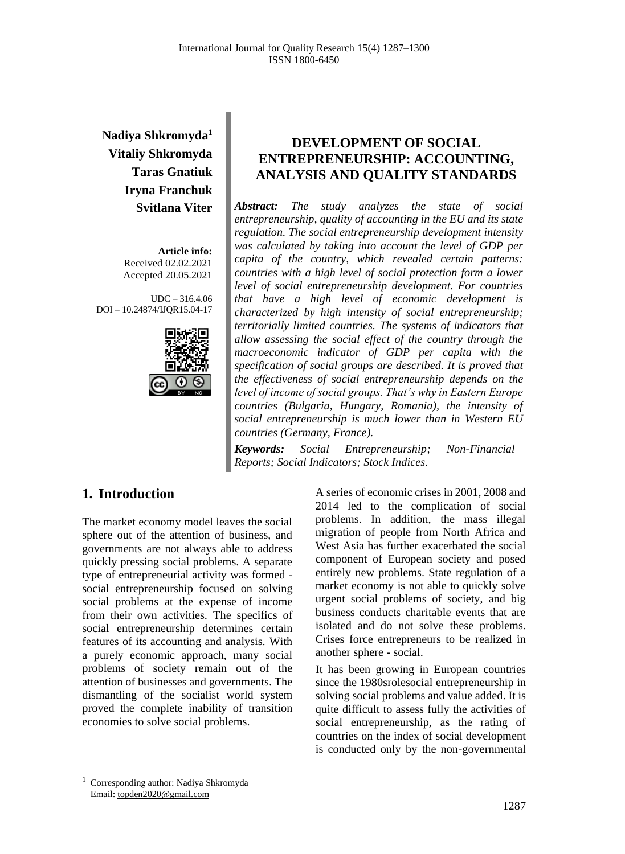# **Nadiya Shkromyda<sup>1</sup> Vitaliy Shkromyda Taras Gnatiuk Iryna Franchuk Svitlana Viter**

**Article info:** Received 02.02.2021 Accepted 20.05.2021

UDC – 316.4.06 DOI – 10.24874/IJQR15.04-17



## **DEVELOPMENT OF SOCIAL ENTREPRENEURSHIP: ACCOUNTING, ANALYSIS AND QUALITY STANDARDS**

*Abstract: The study analyzes the state of social entrepreneurship, quality of accounting in the EU and its state regulation. The social entrepreneurship development intensity was calculated by taking into account the level of GDP per capita of the country, which revealed certain patterns: countries with a high level of social protection form a lower level of social entrepreneurship development. For countries that have a high level of economic development is characterized by high intensity of social entrepreneurship; territorially limited countries. The systems of indicators that allow assessing the social effect of the country through the macroeconomic indicator of GDP per capita with the specification of social groups are described. It is proved that the effectiveness of social entrepreneurship depends on the level of income of social groups. That's why in Eastern Europe countries (Bulgaria, Hungary, Romania), the intensity of social entrepreneurship is much lower than in Western EU countries (Germany, France).*

*Keywords: Social Entrepreneurship; Non-Financial Reports; Social Indicators; Stock Indices*.

### **1. Introduction**

The market economy model leaves the social sphere out of the attention of business, and governments are not always able to address quickly pressing social problems. A separate type of entrepreneurial activity was formed social entrepreneurship focused on solving social problems at the expense of income from their own activities. The specifics of social entrepreneurship determines certain features of its accounting and analysis. With a purely economic approach, many social problems of society remain out of the attention of businesses and governments. The dismantling of the socialist world system proved the complete inability of transition economies to solve social problems.

A series of economic crises in 2001, 2008 and 2014 led to the complication of social problems. In addition, the mass illegal migration of people from North Africa and West Asia has further exacerbated the social component of European society and posed entirely new problems. State regulation of a market economy is not able to quickly solve urgent social problems of society, and big business conducts charitable events that are isolated and do not solve these problems. Crises force entrepreneurs to be realized in another sphere - social.

It has been growing in European countries since the 1980srolesocial entrepreneurship in solving social problems and value added. It is quite difficult to assess fully the activities of social entrepreneurship, as the rating of countries on the index of social development is conducted only by the non-governmental

<sup>1</sup> Corresponding author: Nadiya Shkromyda Email: topden2020@gmail.com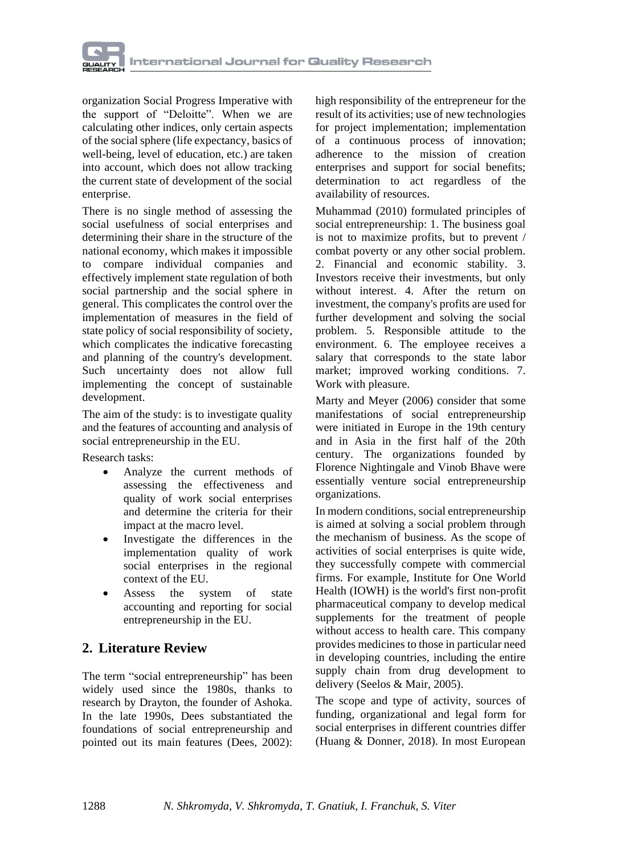

organization Social Progress Imperative with the support of "Deloitte". When we are calculating other indices, only certain aspects of the social sphere (life expectancy, basics of well-being, level of education, etc.) are taken into account, which does not allow tracking the current state of development of the social enterprise.

There is no single method of assessing the social usefulness of social enterprises and determining their share in the structure of the national economy, which makes it impossible to compare individual companies and effectively implement state regulation of both social partnership and the social sphere in general. This complicates the control over the implementation of measures in the field of state policy of social responsibility of society, which complicates the indicative forecasting and planning of the country's development. Such uncertainty does not allow full implementing the concept of sustainable development.

The aim of the study: is to investigate quality and the features of accounting and analysis of social entrepreneurship in the EU.

Research tasks:

- Analyze the current methods of assessing the effectiveness and quality of work social enterprises and determine the criteria for their impact at the macro level.
- Investigate the differences in the implementation quality of work social enterprises in the regional context of the EU.
- Assess the system of state accounting and reporting for social entrepreneurship in the EU.

# **2. Literature Review**

The term "social entrepreneurship" has been widely used since the 1980s, thanks to research by Drayton, the founder of Ashoka. In the late 1990s, Dees substantiated the foundations of social entrepreneurship and pointed out its main features (Dees, 2002): high responsibility of the entrepreneur for the result of its activities; use of new technologies for project implementation; implementation of a continuous process of innovation; adherence to the mission of creation enterprises and support for social benefits; determination to act regardless of the availability of resources.

Muhammad (2010) formulated principles of social entrepreneurship: 1. The business goal is not to maximize profits, but to prevent / combat poverty or any other social problem. 2. Financial and economic stability. 3. Investors receive their investments, but only without interest. 4. After the return on investment, the company's profits are used for further development and solving the social problem. 5. Responsible attitude to the environment. 6. The employee receives a salary that corresponds to the state labor market; improved working conditions. 7. Work with pleasure.

Marty and Meyer (2006) consider that some manifestations of social entrepreneurship were initiated in Europe in the 19th century and in Asia in the first half of the 20th century. The organizations founded by Florence Nightingale and Vinob Bhave were essentially venture social entrepreneurship organizations.

In modern conditions, social entrepreneurship is aimed at solving a social problem through the mechanism of business. As the scope of activities of social enterprises is quite wide, they successfully compete with commercial firms. For example, [Institute for One World](https://skoll.org/organization/institute-for-one-world-health/)  [Health](https://skoll.org/organization/institute-for-one-world-health/) (IOWH) is the world's first non-profit pharmaceutical company to develop medical supplements for the treatment of people without access to health care. This company provides medicines to those in particular need in developing countries, including the entire supply chain from drug development to delivery (Seelos & Mair, 2005).

The scope and type of activity, sources of funding, organizational and legal form for social enterprises in different countries differ (Huang & Donner, 2018). In most European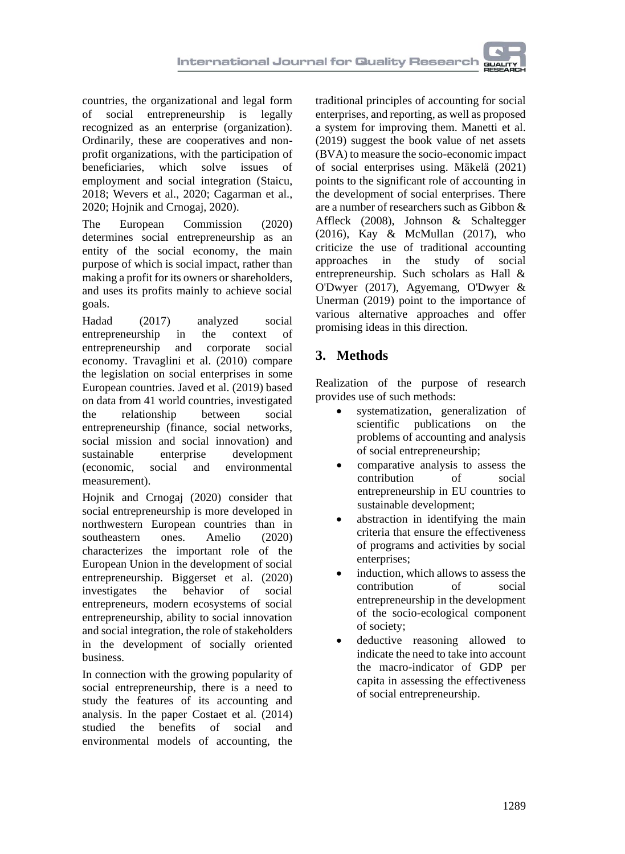countries, the organizational and legal form of social entrepreneurship is legally recognized as an enterprise (organization). Ordinarily, these are cooperatives and nonprofit organizations, with the participation of<br>beneficiaries, which solve issues of beneficiaries, which solve issues of employment and social integration (Staicu, 2018; Wevers et al., 2020; Cagarman et al., 2020; Hojnik and Crnogaj, 2020).

The European Commission (2020) determines social entrepreneurship as an entity of the social economy, the main purpose of which is social impact, rather than making a profit for its owners or shareholders, and uses its profits mainly to achieve social goals.

Hadad (2017) analyzed social entrepreneurship in the context of entrepreneurship and corporate social economy. Travaglini et al. (2010) compare the legislation on social enterprises in some European countries. Javed et al. (2019) based on data from 41 world countries, investigated the relationship between social entrepreneurship (finance, social networks, social mission and social innovation) and sustainable enterprise development (economic, social and environmental measurement).

[Hojnik](https://sciprofiles.com/profile/471489) and Crnogaj (2020) consider that social entrepreneurship is more developed in northwestern European countries than in southeastern ones. Amelio (2020) characterizes the important role of the European Union in the development of social entrepreneurship. [Biggerse](https://www.routledge.com/search?author=Mario%20Biggeri)t et al. (2020) investigates the behavior of social entrepreneurs, modern ecosystems of social entrepreneurship, ability to social innovation and social integration, the role of stakeholders in the development of socially oriented business.

In connection with the growing popularity of social entrepreneurship, there is a need to study the features of its accounting and analysis. In the paper [Costae](https://www.emerald.com/insight/search?q=Ericka%20Costa)t et al. (2014) studied the benefits of social and environmental models of accounting, the

traditional principles of accounting for social enterprises, and reporting, as well as proposed a system for improving them. Manetti et al. (2019) suggest the book value of net assets (BVA) to measure the socio-economic impact of social enterprises using. [Mäkelä](https://www.tandfonline.com/author/M%C3%A4kel%C3%A4%2C+Hannele) (2021) points to the significant role of accounting in the development of social enterprises. There are a number of researchers such as Gibbon & Affleck (2008), Johnson & Schaltegger (2016), Kay & McMullan (2017), who criticize the use of traditional accounting approaches in the study of social entrepreneurship. Such scholars as Hall & O'Dwyer (2017), Agyemang, O'Dwyer & Unerman (2019) point to the importance of various alternative approaches and offer promising ideas in this direction.

# **3. Methods**

Realization of the purpose of research provides use of such methods:

- systematization, generalization of scientific publications on the problems of accounting and analysis of social entrepreneurship;
- comparative analysis to assess the contribution of social entrepreneurship in EU countries to sustainable development;
- abstraction in identifying the main criteria that ensure the effectiveness of programs and activities by social enterprises;
- induction, which allows to assess the contribution of social entrepreneurship in the development of the socio-ecological component of society;
- deductive reasoning allowed to indicate the need to take into account the macro-indicator of GDP per capita in assessing the effectiveness of social entrepreneurship.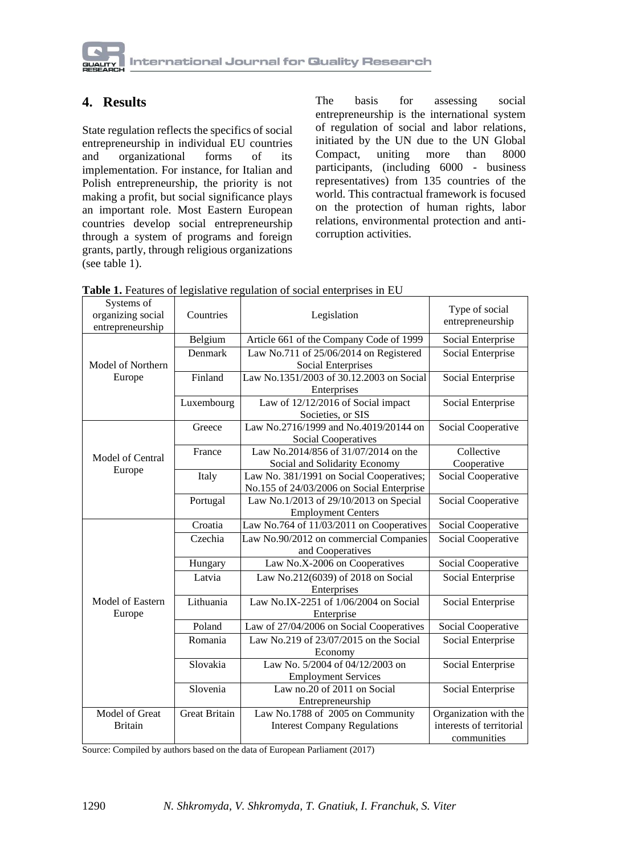

## **4. Results**

State regulation reflects the specifics of social entrepreneurship in individual EU countries and organizational forms of its implementation. For instance, for Italian and Polish entrepreneurship, the priority is not making a profit, but social significance plays an important role. Most Eastern European countries develop social entrepreneurship through a system of programs and foreign grants, partly, through religious organizations (see table 1).

The basis for assessing social entrepreneurship is the international system of regulation of social and labor relations, initiated by the UN due to the UN Global Compact, uniting more than 8000 participants, (including 6000 - business representatives) from 135 countries of the world. This contractual framework is focused on the protection of human rights, labor relations, environmental protection and anticorruption activities.

| Systems of<br>organizing social<br>entrepreneurship | Countries            | Legislation                                                                           | Type of social<br>entrepreneurship      |
|-----------------------------------------------------|----------------------|---------------------------------------------------------------------------------------|-----------------------------------------|
|                                                     | Belgium              | Article 661 of the Company Code of 1999                                               | Social Enterprise                       |
| Model of Northern                                   | Denmark              | Law No.711 of 25/06/2014 on Registered<br><b>Social Enterprises</b>                   | Social Enterprise                       |
| Europe                                              | Finland              | Law No.1351/2003 of 30.12.2003 on Social<br>Enterprises                               | Social Enterprise                       |
|                                                     | Luxembourg           | Law of 12/12/2016 of Social impact<br>Societies, or SIS                               | Social Enterprise                       |
|                                                     | Greece               | Law No.2716/1999 and No.4019/20144 on<br>Social Cooperatives                          | Social Cooperative                      |
| Model of Central<br>Europe                          | France               | Law No.2014/856 of 31/07/2014 on the<br>Social and Solidarity Economy                 | Collective<br>Cooperative               |
|                                                     | Italy                | Law No. 381/1991 on Social Cooperatives;<br>No.155 of 24/03/2006 on Social Enterprise | Social Cooperative                      |
|                                                     | Portugal             | Law No.1/2013 of 29/10/2013 on Special<br><b>Employment Centers</b>                   | Social Cooperative                      |
|                                                     | Croatia              | Law No.764 of 11/03/2011 on Cooperatives                                              | Social Cooperative                      |
|                                                     | Czechia              | Law No.90/2012 on commercial Companies<br>and Cooperatives                            | Social Cooperative                      |
|                                                     | Hungary              | Law No.X-2006 on Cooperatives                                                         | Social Cooperative                      |
|                                                     | Latvia               | Law No.212(6039) of 2018 on Social<br>Enterprises                                     | Social Enterprise                       |
| <b>Model of Eastern</b><br>Europe                   | Lithuania            | Law No.IX-2251 of 1/06/2004 on Social<br>Enterprise                                   | Social Enterprise                       |
|                                                     | Poland               | Law of 27/04/2006 on Social Cooperatives                                              | Social Cooperative                      |
|                                                     | Romania              | Law No.219 of 23/07/2015 on the Social<br>Economy                                     | Social Enterprise                       |
|                                                     | Slovakia             | Law No. 5/2004 of 04/12/2003 on<br><b>Employment Services</b>                         | Social Enterprise                       |
|                                                     | Slovenia             | Law no.20 of 2011 on Social<br>Entrepreneurship                                       | Social Enterprise                       |
| Model of Great                                      | <b>Great Britain</b> | Law No.1788 of 2005 on Community                                                      | Organization with the                   |
| <b>Britain</b>                                      |                      | <b>Interest Company Regulations</b>                                                   | interests of territorial<br>communities |

**Table 1.** Features of legislative regulation of social enterprises in EU

Source: Compiled by authors based on the data of European Parliament (2017)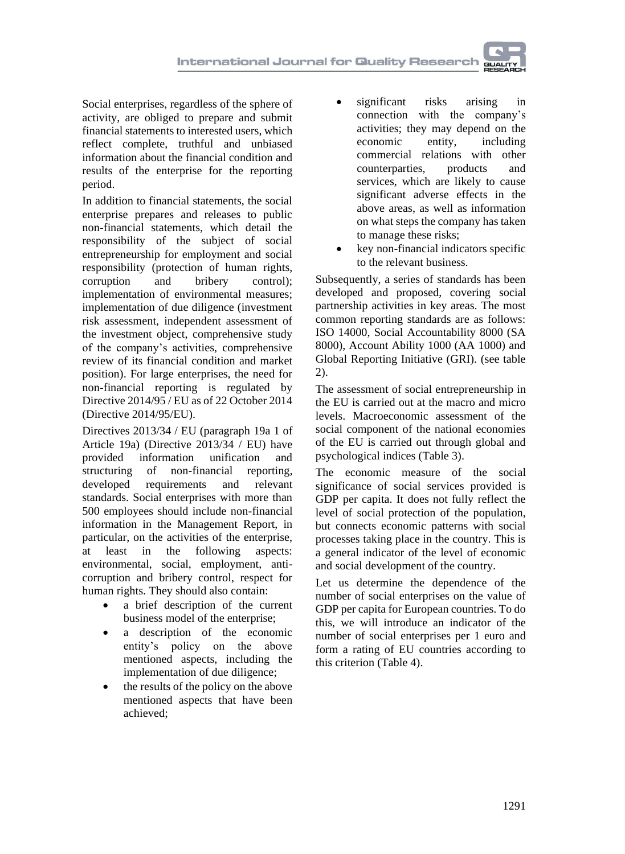Social enterprises, regardless of the sphere of activity, are obliged to prepare and submit financial statements to interested users, which reflect complete, truthful and unbiased information about the financial condition and results of the enterprise for the reporting period.

In addition to financial statements, the social enterprise prepares and releases to public non-financial statements, which detail the responsibility of the subject of social entrepreneurship for employment and social responsibility (protection of human rights, corruption and bribery control); implementation of environmental measures; implementation of due diligence (investment risk assessment, independent assessment of the investment object, comprehensive study of the company's activities, comprehensive review of its financial condition and market position). For large enterprises, the need for non-financial reporting is regulated by Directive 2014/95 / EU as of 22 October 2014 (Directive 2014/95/EU).

Directives 2013/34 / EU (paragraph 19a 1 of Article 19a) (Directive 2013/34 / EU) have provided information unification and structuring of non-financial reporting, developed requirements and relevant standards. Social enterprises with more than 500 employees should include non-financial information in the Management Report, in particular, on the activities of the enterprise, at least in the following aspects: environmental, social, employment, anticorruption and bribery control, respect for human rights. They should also contain:

- a brief description of the current business model of the enterprise;
- a description of the economic entity's policy on the above mentioned aspects, including the implementation of due diligence;
- the results of the policy on the above mentioned aspects that have been achieved;
- significant risks arising in connection with the company's activities; they may depend on the economic entity, including commercial relations with other<br>counterparties, products and counterparties, products and services, which are likely to cause significant adverse effects in the above areas, as well as information on what steps the company has taken to manage these risks;
- key non-financial indicators specific to the relevant business.

Subsequently, a series of standards has been developed and proposed, covering social partnership activities in key areas. The most common reporting standards are as follows: ISO 14000, Social Accountability 8000 (SA 8000), Account Ability 1000 (AA 1000) and Global Reporting Initiative (GRI). (see table 2).

The assessment of social entrepreneurship in the EU is carried out at the macro and micro levels. Macroeconomic assessment of the social component of the national economies of the EU is carried out through global and psychological indices (Table 3).

The economic measure of the social significance of social services provided is GDP per capita. It does not fully reflect the level of social protection of the population, but connects economic patterns with social processes taking place in the country. This is a general indicator of the level of economic and social development of the country.

Let us determine the dependence of the number of social enterprises on the value of GDP per capita for European countries. To do this, we will introduce an indicator of the number of social enterprises per 1 euro and form a rating of EU countries according to this criterion (Table 4).

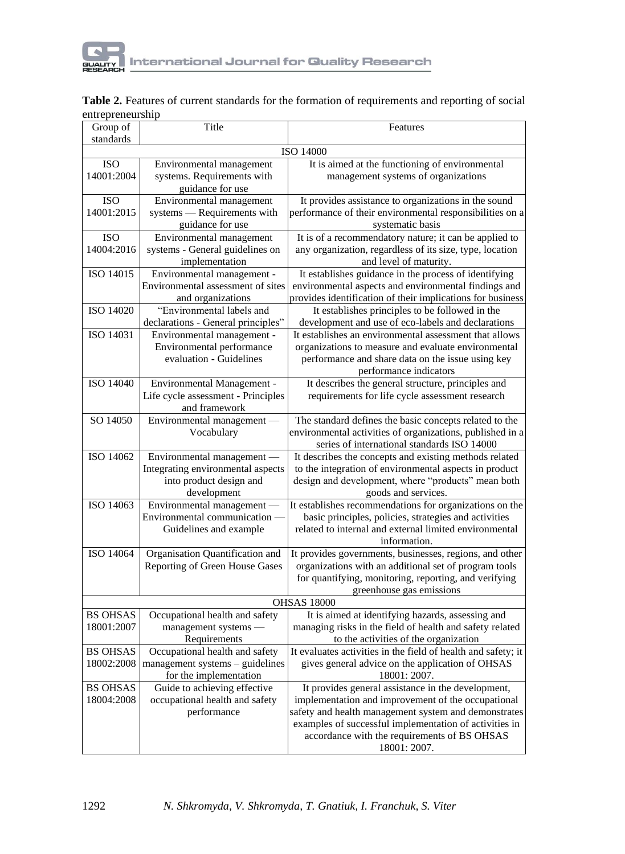

|                  |  | Table 2. Features of current standards for the formation of requirements and reporting of social |
|------------------|--|--------------------------------------------------------------------------------------------------|
| entrepreneurship |  |                                                                                                  |

| Group of        | Title                              | Features                                                      |
|-----------------|------------------------------------|---------------------------------------------------------------|
| standards       |                                    |                                                               |
|                 |                                    | ISO 14000                                                     |
| <b>ISO</b>      | Environmental management           | It is aimed at the functioning of environmental               |
| 14001:2004      | systems. Requirements with         | management systems of organizations                           |
|                 | guidance for use                   |                                                               |
| <b>ISO</b>      | Environmental management           | It provides assistance to organizations in the sound          |
| 14001:2015      | systems - Requirements with        | performance of their environmental responsibilities on a      |
|                 | guidance for use                   | systematic basis                                              |
| <b>ISO</b>      | Environmental management           | It is of a recommendatory nature; it can be applied to        |
| 14004:2016      | systems - General guidelines on    | any organization, regardless of its size, type, location      |
|                 | implementation                     | and level of maturity.                                        |
| ISO 14015       | Environmental management -         | It establishes guidance in the process of identifying         |
|                 | Environmental assessment of sites  | environmental aspects and environmental findings and          |
|                 | and organizations                  | provides identification of their implications for business    |
| ISO 14020       | "Environmental labels and          | It establishes principles to be followed in the               |
|                 | declarations - General principles" | development and use of eco-labels and declarations            |
| ISO 14031       | Environmental management -         | It establishes an environmental assessment that allows        |
|                 | Environmental performance          | organizations to measure and evaluate environmental           |
|                 | evaluation - Guidelines            | performance and share data on the issue using key             |
|                 |                                    | performance indicators                                        |
| ISO 14040       | Environmental Management -         | It describes the general structure, principles and            |
|                 | Life cycle assessment - Principles | requirements for life cycle assessment research               |
|                 | and framework                      |                                                               |
| SO 14050        | Environmental management           | The standard defines the basic concepts related to the        |
|                 | Vocabulary                         | environmental activities of organizations, published in a     |
|                 |                                    | series of international standards ISO 14000                   |
| ISO 14062       | Environmental management -         | It describes the concepts and existing methods related        |
|                 | Integrating environmental aspects  | to the integration of environmental aspects in product        |
|                 | into product design and            | design and development, where "products" mean both            |
|                 | development                        | goods and services.                                           |
| ISO 14063       | Environmental management -         | It establishes recommendations for organizations on the       |
|                 | Environmental communication        | basic principles, policies, strategies and activities         |
|                 | Guidelines and example             | related to internal and external limited environmental        |
|                 |                                    | information.                                                  |
| ISO 14064       | Organisation Quantification and    | It provides governments, businesses, regions, and other       |
|                 | Reporting of Green House Gases     | organizations with an additional set of program tools         |
|                 |                                    | for quantifying, monitoring, reporting, and verifying         |
|                 |                                    | greenhouse gas emissions                                      |
|                 |                                    | <b>OHSAS 18000</b>                                            |
| <b>BS OHSAS</b> | Occupational health and safety     | It is aimed at identifying hazards, assessing and             |
| 18001:2007      | management systems -               | managing risks in the field of health and safety related      |
|                 | Requirements                       | to the activities of the organization                         |
| <b>BS OHSAS</b> | Occupational health and safety     | It evaluates activities in the field of health and safety; it |
| 18002:2008      | management systems - guidelines    | gives general advice on the application of OHSAS              |
|                 | for the implementation             | 18001: 2007.                                                  |
| <b>BS OHSAS</b> | Guide to achieving effective       | It provides general assistance in the development,            |
| 18004:2008      | occupational health and safety     | implementation and improvement of the occupational            |
|                 | performance                        | safety and health management system and demonstrates          |
|                 |                                    | examples of successful implementation of activities in        |
|                 |                                    | accordance with the requirements of BS OHSAS                  |
|                 |                                    | 18001: 2007.                                                  |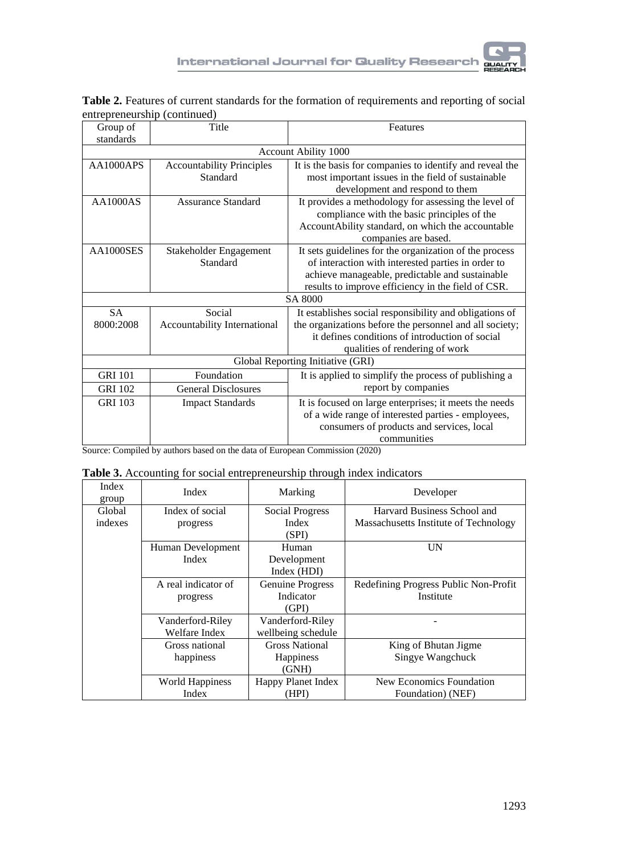

|                              | Table 2. Features of current standards for the formation of requirements and reporting of social |
|------------------------------|--------------------------------------------------------------------------------------------------|
| entrepreneurship (continued) |                                                                                                  |

| Group of<br>standards | Title                            | Features                                                 |  |  |  |
|-----------------------|----------------------------------|----------------------------------------------------------|--|--|--|
|                       | Account Ability 1000             |                                                          |  |  |  |
| AA1000APS             | <b>Accountability Principles</b> | It is the basis for companies to identify and reveal the |  |  |  |
|                       | Standard                         | most important issues in the field of sustainable        |  |  |  |
|                       |                                  | development and respond to them                          |  |  |  |
| <b>AA1000AS</b>       | Assurance Standard               | It provides a methodology for assessing the level of     |  |  |  |
|                       |                                  | compliance with the basic principles of the              |  |  |  |
|                       |                                  | AccountAbility standard, on which the accountable        |  |  |  |
|                       |                                  | companies are based.                                     |  |  |  |
| AA1000SES             | Stakeholder Engagement           | It sets guidelines for the organization of the process   |  |  |  |
|                       | Standard                         | of interaction with interested parties in order to       |  |  |  |
|                       |                                  | achieve manageable, predictable and sustainable          |  |  |  |
|                       |                                  | results to improve efficiency in the field of CSR.       |  |  |  |
|                       |                                  | SA 8000                                                  |  |  |  |
| <b>SA</b>             | Social                           | It establishes social responsibility and obligations of  |  |  |  |
| 8000:2008             | Accountability International     | the organizations before the personnel and all society;  |  |  |  |
|                       |                                  | it defines conditions of introduction of social          |  |  |  |
|                       |                                  | qualities of rendering of work                           |  |  |  |
|                       |                                  | Global Reporting Initiative (GRI)                        |  |  |  |
| <b>GRI 101</b>        | Foundation                       | It is applied to simplify the process of publishing a    |  |  |  |
| <b>GRI 102</b>        | <b>General Disclosures</b>       | report by companies                                      |  |  |  |
| <b>GRI 103</b>        | <b>Impact Standards</b>          | It is focused on large enterprises; it meets the needs   |  |  |  |
|                       |                                  | of a wide range of interested parties - employees,       |  |  |  |
|                       |                                  | consumers of products and services, local                |  |  |  |
|                       |                                  | communities                                              |  |  |  |

Source: Compiled by authors based on the data of European Commission (2020)

| Table 3. Accounting for social entrepreneurship through index indicators |  |  |
|--------------------------------------------------------------------------|--|--|
|                                                                          |  |  |

| Index<br>group | Index               | Marking                 | Developer                             |
|----------------|---------------------|-------------------------|---------------------------------------|
| Global         | Index of social     | <b>Social Progress</b>  | Harvard Business School and           |
| indexes        | progress            | Index                   | Massachusetts Institute of Technology |
|                |                     | (SPI)                   |                                       |
|                | Human Development   | Human                   | UN                                    |
|                | Index               | Development             |                                       |
|                |                     | Index (HDI)             |                                       |
|                | A real indicator of | <b>Genuine Progress</b> | Redefining Progress Public Non-Profit |
|                | progress            | Indicator               | Institute                             |
|                |                     | (GPI)                   |                                       |
|                | Vanderford-Riley    | Vanderford-Riley        |                                       |
|                | Welfare Index       | wellbeing schedule      |                                       |
|                | Gross national      | <b>Gross National</b>   | King of Bhutan Jigme                  |
|                | happiness           | <b>Happiness</b>        | Singye Wangchuck                      |
|                |                     | (GNH)                   |                                       |
|                | World Happiness     | Happy Planet Index      | New Economics Foundation              |
|                | Index               | (HPI)                   | Foundation) (NEF)                     |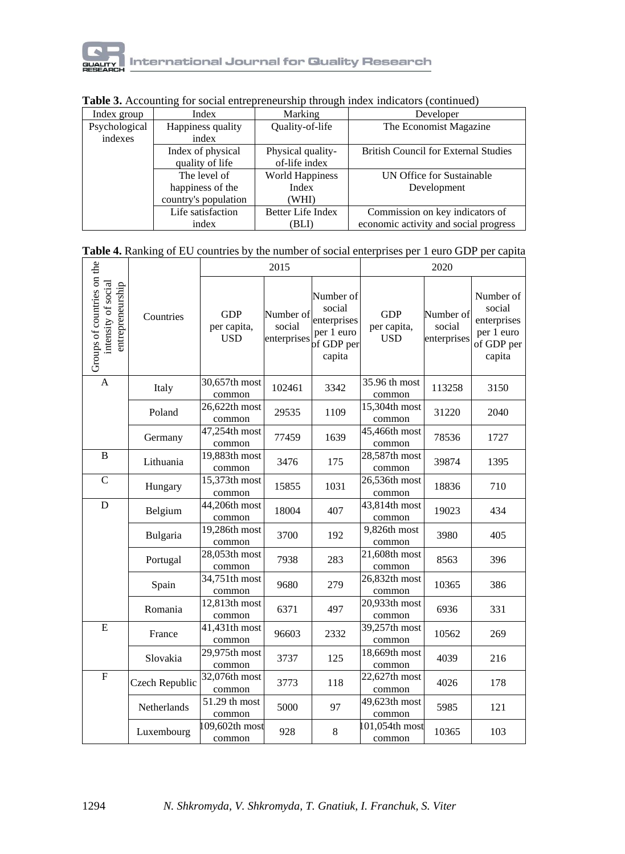

| Index group   | Marking<br>Index                 |                          | Developer                                   |  |
|---------------|----------------------------------|--------------------------|---------------------------------------------|--|
| Psychological | Happiness quality                | Quality-of-life          | The Economist Magazine                      |  |
| indexes       | index                            |                          |                                             |  |
|               | Index of physical                | Physical quality-        | <b>British Council for External Studies</b> |  |
|               | of-life index<br>quality of life |                          |                                             |  |
|               | The level of                     | <b>World Happiness</b>   | UN Office for Sustainable                   |  |
|               | happiness of the                 | Index                    | Development                                 |  |
|               | country's population             | (WHI                     |                                             |  |
|               | Life satisfaction                | <b>Better Life Index</b> | Commission on key indicators of             |  |
|               | index                            | (BLI)                    | economic activity and social progress       |  |

### **Table 3.** Accounting for social entrepreneurship through index indicators (continued)

|                                                                       |                |                                  | 2015                               |                                                                          | 2020                                    |                                    |                                                                          |
|-----------------------------------------------------------------------|----------------|----------------------------------|------------------------------------|--------------------------------------------------------------------------|-----------------------------------------|------------------------------------|--------------------------------------------------------------------------|
| Groups of countries on the<br>intensity of social<br>entrepreneurship | Countries      | <b>GDP</b><br>per capita,<br>USD | Number of<br>social<br>enterprises | Number of<br>social<br>enterprises<br>per 1 euro<br>of GDP per<br>capita | <b>GDP</b><br>per capita,<br><b>USD</b> | Number of<br>social<br>enterprises | Number of<br>social<br>enterprises<br>per 1 euro<br>of GDP per<br>capita |
| $\mathbf{A}$                                                          | Italy          | 30,657th most<br>common          | 102461                             | 3342                                                                     | 35.96 th most<br>common                 | 113258                             | 3150                                                                     |
|                                                                       | Poland         | 26,622th most<br>common          | 29535                              | 1109                                                                     | 15,304th most<br>common                 | 31220                              | 2040                                                                     |
|                                                                       | Germany        | 47,254th most<br>common          | 77459                              | 1639                                                                     | 45,466th most<br>common                 | 78536                              | 1727                                                                     |
| B                                                                     | Lithuania      | 19,883th most<br>common          | 3476                               | 175                                                                      | 28,587th most<br>common                 | 39874                              | 1395                                                                     |
| $\mathsf{C}$                                                          | Hungary        | 15,373th most<br>common          | 15855                              | 1031                                                                     | 26,536th most<br>common                 | 18836                              | 710                                                                      |
| D                                                                     | Belgium        | 44,206th most<br>common          | 18004                              | 407                                                                      | 43,814th most<br>common                 | 19023                              | 434                                                                      |
|                                                                       | Bulgaria       | 19,286th most<br>common          | 3700                               | 192                                                                      | 9,826th most<br>common                  | 3980                               | 405                                                                      |
|                                                                       | Portugal       | 28,053th most<br>common          | 7938                               | 283                                                                      | 21,608th most<br>common                 | 8563                               | 396                                                                      |
|                                                                       | Spain          | 34,751th most<br>common          | 9680                               | 279                                                                      | 26,832th most<br>common                 | 10365                              | 386                                                                      |
|                                                                       | Romania        | 12,813th most<br>common          | 6371                               | 497                                                                      | 20,933th most<br>common                 | 6936                               | 331                                                                      |
| E                                                                     | France         | 41,431th most<br>common          | 96603                              | 2332                                                                     | 39,257th most<br>common                 | 10562                              | 269                                                                      |
|                                                                       | Slovakia       | 29,975th most<br>common          | 3737                               | 125                                                                      | 18,669th most<br>common                 | 4039                               | 216                                                                      |
| $\mathbf{F}$                                                          | Czech Republic | 32,076th most<br>common          | 3773                               | 118                                                                      | 22,627th most<br>common                 | 4026                               | 178                                                                      |
|                                                                       | Netherlands    | 51.29 th most<br>common          | 5000                               | 97                                                                       | 49,623th most<br>common                 | 5985                               | 121                                                                      |
|                                                                       | Luxembourg     | 109,602th most<br>common         | 928                                | 8                                                                        | 101,054th most<br>common                | 10365                              | 103                                                                      |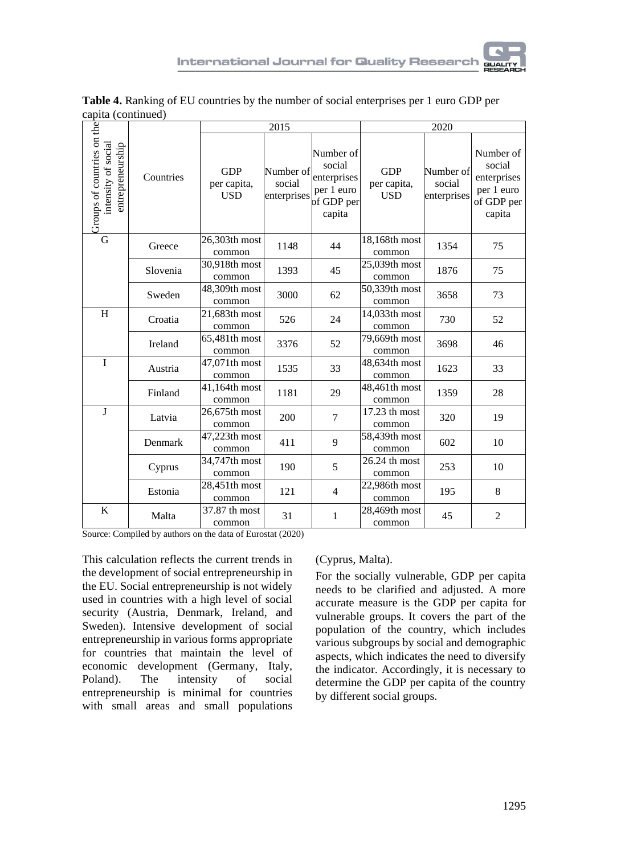

| capita (continued)                                                    |           |                                         |                                    |                                                                          |                                         |                                    |                                                                          |
|-----------------------------------------------------------------------|-----------|-----------------------------------------|------------------------------------|--------------------------------------------------------------------------|-----------------------------------------|------------------------------------|--------------------------------------------------------------------------|
|                                                                       |           | 2015                                    |                                    |                                                                          | 2020                                    |                                    |                                                                          |
| Groups of countries on the<br>intensity of social<br>entrepreneurship | Countries | <b>GDP</b><br>per capita,<br><b>USD</b> | Number of<br>social<br>enterprises | Number of<br>social<br>enterprises<br>per 1 euro<br>of GDP per<br>capita | <b>GDP</b><br>per capita,<br><b>USD</b> | Number of<br>social<br>enterprises | Number of<br>social<br>enterprises<br>per 1 euro<br>of GDP per<br>capita |
| G                                                                     | Greece    | 26,303th most<br>common                 | 1148                               | 44                                                                       | 18,168th most<br>common                 | 1354                               | 75                                                                       |
|                                                                       | Slovenia  | 30,918th most<br>common                 | 1393                               | 45                                                                       | 25,039th most<br>common                 | 1876                               | 75                                                                       |
|                                                                       | Sweden    | 48,309th most<br>common                 | 3000                               | 62                                                                       | 50,339th most<br>common                 | 3658                               | 73                                                                       |
| H                                                                     | Croatia   | 21,683th most<br>common                 | 526                                | 24                                                                       | 14,033th most<br>common                 | 730                                | 52                                                                       |
|                                                                       | Ireland   | 65,481th most<br>common                 | 3376                               | 52                                                                       | 79,669th most<br>common                 | 3698                               | 46                                                                       |
| I                                                                     | Austria   | 47,071th most<br>common                 | 1535                               | 33                                                                       | 48,634th most<br>common                 | 1623                               | 33                                                                       |
|                                                                       | Finland   | 41,164th most<br>common                 | 1181                               | 29                                                                       | 48,461th most<br>common                 | 1359                               | 28                                                                       |
| $\mathbf{J}$                                                          | Latvia    | 26,675th most<br>common                 | 200                                | $\overline{7}$                                                           | 17.23 th most<br>common                 | 320                                | 19                                                                       |
|                                                                       | Denmark   | 47,223th most<br>common                 | 411                                | 9                                                                        | 58,439th most<br>common                 | 602                                | 10                                                                       |
|                                                                       | Cyprus    | 34,747th most<br>common                 | 190                                | 5                                                                        | $26.24$ th most<br>common               | 253                                | 10                                                                       |
|                                                                       | Estonia   | 28,451th most<br>common                 | 121                                | $\overline{4}$                                                           | 22,986th most<br>common                 | 195                                | 8                                                                        |
| K                                                                     | Malta     | 37.87 th most<br>common                 | 31                                 | 1                                                                        | 28,469th most<br>common                 | 45                                 | $\overline{c}$                                                           |

**Table 4.** Ranking of EU countries by the number of social enterprises per 1 euro GDP per

Source: Compiled by authors on the data of Eurostat (2020)

This calculation reflects the current trends in the development of social entrepreneurship in the EU. Social entrepreneurship is not widely used in countries with a high level of social security (Austria, Denmark, Ireland, and Sweden). Intensive development of social entrepreneurship in various forms appropriate for countries that maintain the level of economic development (Germany, Italy, Poland). The intensity of social entrepreneurship is minimal for countries with small areas and small populations

#### (Cyprus, Malta).

For the socially vulnerable, GDP per capita needs to be clarified and adjusted. A more accurate measure is the GDP per capita for vulnerable groups. It covers the part of the population of the country, which includes various subgroups by social and demographic aspects, which indicates the need to diversify the indicator. Accordingly, it is necessary to determine the GDP per capita of the country by different social groups.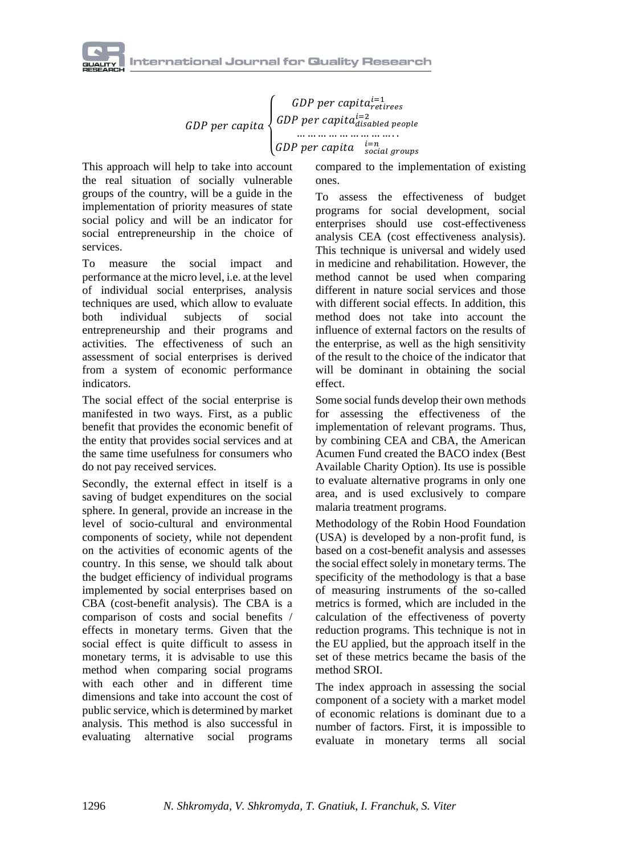GDP per capita  $\sqrt{\frac{1}{2}}$  $\left\{\begin{array}{c} GDP\ per\ capital^{i=1}\\ GDP\ per\ can\ in\ \n\end{array}\right.$ GDP per capita $_{disabled}^{i=2}$ … … … … … … … … … . . GDP per capita  $\frac{i=n}{social\,groups}$ 

This approach will help to take into account the real situation of socially vulnerable groups of the country, will be a guide in the implementation of priority measures of state social policy and will be an indicator for social entrepreneurship in the choice of services.

To measure the social impact and performance at the micro level, i.e. at the level of individual social enterprises, analysis techniques are used, which allow to evaluate both individual subjects of social entrepreneurship and their programs and activities. The effectiveness of such an assessment of social enterprises is derived from a system of economic performance indicators.

The social effect of the social enterprise is manifested in two ways. First, as a public benefit that provides the economic benefit of the entity that provides social services and at the same time usefulness for consumers who do not pay received services.

Secondly, the external effect in itself is a saving of budget expenditures on the social sphere. In general, provide an increase in the level of socio-cultural and environmental components of society, while not dependent on the activities of economic agents of the country. In this sense, we should talk about the budget efficiency of individual programs implemented by social enterprises based on CBA (cost-benefit analysis). The CBA is a comparison of costs and social benefits / effects in monetary terms. Given that the social effect is quite difficult to assess in monetary terms, it is advisable to use this method when comparing social programs with each other and in different time dimensions and take into account the cost of public service, which is determined by market analysis. This method is also successful in evaluating alternative social programs

compared to the implementation of existing ones.

To assess the effectiveness of budget programs for social development, social enterprises should use cost-effectiveness analysis CEA (cost effectiveness analysis). This technique is universal and widely used in medicine and rehabilitation. However, the method cannot be used when comparing different in nature social services and those with different social effects. In addition, this method does not take into account the influence of external factors on the results of the enterprise, as well as the high sensitivity of the result to the choice of the indicator that will be dominant in obtaining the social effect.

Some social funds develop their own methods for assessing the effectiveness of the implementation of relevant programs. Thus, by combining CEA and CBA, the American Acumen Fund created the BACO index (Best Available Charity Option). Its use is possible to evaluate alternative programs in only one area, and is used exclusively to compare malaria treatment programs.

Methodology of the Robin Hood Foundation (USA) is developed by a non-profit fund, is based on a cost-benefit analysis and assesses the social effect solely in monetary terms. The specificity of the methodology is that a base of measuring instruments of the so-called metrics is formed, which are included in the calculation of the effectiveness of poverty reduction programs. This technique is not in the EU applied, but the approach itself in the set of these metrics became the basis of the method SROI.

The index approach in assessing the social component of a society with a market model of economic relations is dominant due to a number of factors. First, it is impossible to evaluate in monetary terms all social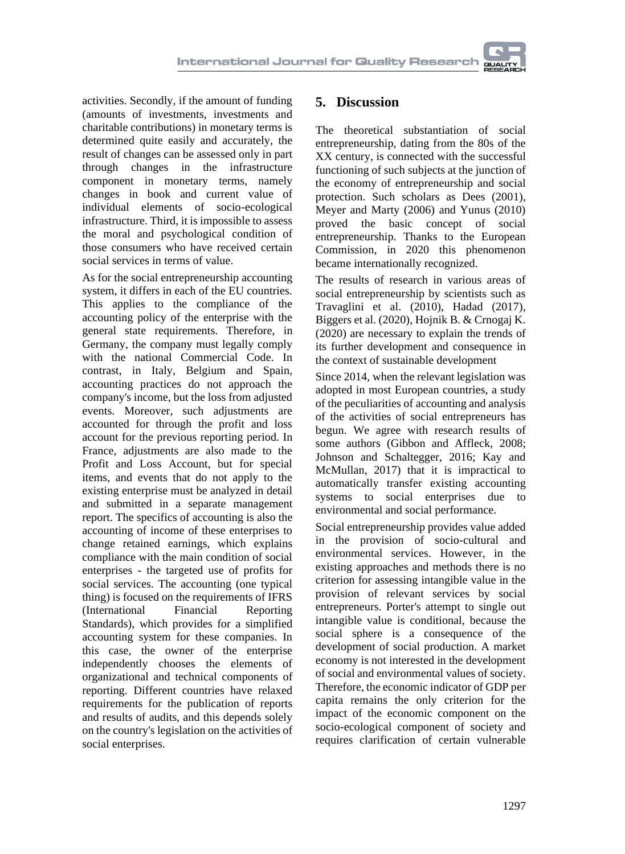activities. Secondly, if the amount of funding (amounts of investments, investments and charitable contributions) in monetary terms is determined quite easily and accurately, the result of changes can be assessed only in part through changes in the infrastructure component in monetary terms, namely changes in book and current value of individual elements of socio-ecological infrastructure. Third, it is impossible to assess the moral and psychological condition of those consumers who have received certain social services in terms of value.

As for the social entrepreneurship accounting system, it differs in each of the EU countries. This applies to the compliance of the accounting policy of the enterprise with the general state requirements. Therefore, in Germany, the company must legally comply with the national Commercial Code. In contrast, in Italy, Belgium and Spain, accounting practices do not approach the company's income, but the loss from adjusted events. Moreover, such adjustments are accounted for through the profit and loss account for the previous reporting period. In France, adjustments are also made to the Profit and Loss Account, but for special items, and events that do not apply to the existing enterprise must be analyzed in detail and submitted in a separate management report. The specifics of accounting is also the accounting of income of these enterprises to change retained earnings, which explains compliance with the main condition of social enterprises - the targeted use of profits for social services. The accounting (one typical thing) is focused on the requirements of IFRS (International Financial Reporting Standards), which provides for a simplified accounting system for these companies. In this case, the owner of the enterprise independently chooses the elements of organizational and technical components of reporting. Different countries have relaxed requirements for the publication of reports and results of audits, and this depends solely on the country's legislation on the activities of social enterprises.

### **5. Discussion**

The theoretical substantiation of social entrepreneurship, dating from the 80s of the XX century, is connected with the successful functioning of such subjects at the junction of the economy of entrepreneurship and social protection. Such scholars as Dees (2001), Meyer and Marty (2006) and Yunus (2010) proved the basic concept of social entrepreneurship. Thanks to the European Commission, in 2020 this phenomenon became internationally recognized.

The results of research in various areas of social entrepreneurship by scientists such as Travaglini et al. (2010), Hadad (2017), Biggers et al. (2020), Hojnik B. & Crnogaj K. (2020) are necessary to explain the trends of its further development and consequence in the context of sustainable development

Since 2014, when the relevant legislation was adopted in most European countries, a study of the peculiarities of accounting and analysis of the activities of social entrepreneurs has begun. We agree with research results of some authors (Gibbon and Affleck, 2008; Johnson and Schaltegger, 2016; Kay and McMullan, 2017) that it is impractical to automatically transfer existing accounting systems to social enterprises due to environmental and social performance.

Social entrepreneurship provides value added in the provision of socio-cultural and environmental services. However, in the existing approaches and methods there is no criterion for assessing intangible value in the provision of relevant services by social entrepreneurs. Porter's attempt to single out intangible value is conditional, because the social sphere is a consequence of the development of social production. A market economy is not interested in the development of social and environmental values of society. Therefore, the economic indicator of GDP per capita remains the only criterion for the impact of the economic component on the socio-ecological component of society and requires clarification of certain vulnerable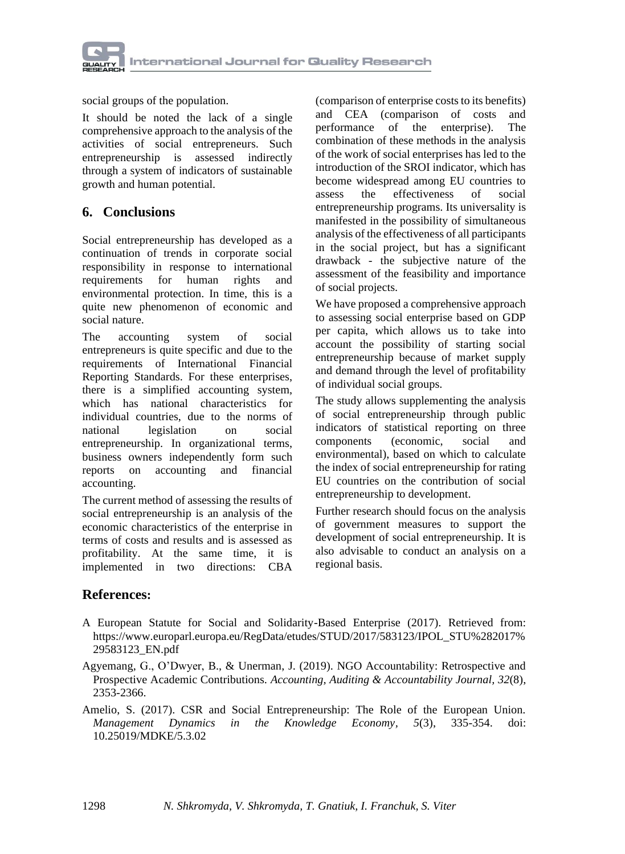

social groups of the population.

It should be noted the lack of a single comprehensive approach to the analysis of the activities of social entrepreneurs. Such entrepreneurship is assessed indirectly through a system of indicators of sustainable growth and human potential.

### **6. Conclusions**

Social entrepreneurship has developed as a continuation of trends in corporate social responsibility in response to international requirements for human rights and environmental protection. In time, this is a quite new phenomenon of economic and social nature.

The accounting system of social entrepreneurs is quite specific and due to the requirements of International Financial Reporting Standards. For these enterprises, there is a simplified accounting system, which has national characteristics for individual countries, due to the norms of national legislation on social entrepreneurship. In organizational terms, business owners independently form such reports on accounting and financial accounting.

The current method of assessing the results of social entrepreneurship is an analysis of the economic characteristics of the enterprise in terms of costs and results and is assessed as profitability. At the same time, it is implemented in two directions: CBA

(comparison of enterprise costs to its benefits) and CEA (comparison of costs and performance of the enterprise). The combination of these methods in the analysis of the work of social enterprises has led to the introduction of the SROI indicator, which has become widespread among EU countries to assess the effectiveness of social entrepreneurship programs. Its universality is manifested in the possibility of simultaneous analysis of the effectiveness of all participants in the social project, but has a significant drawback - the subjective nature of the assessment of the feasibility and importance of social projects.

We have proposed a comprehensive approach to assessing social enterprise based on GDP per capita, which allows us to take into account the possibility of starting social entrepreneurship because of market supply and demand through the level of profitability of individual social groups.

The study allows supplementing the analysis of social entrepreneurship through public indicators of statistical reporting on three components (economic, social and environmental), based on which to calculate the index of social entrepreneurship for rating EU countries on the contribution of social entrepreneurship to development.

Further research should focus on the analysis of government measures to support the development of social entrepreneurship. It is also advisable to conduct an analysis on a regional basis.

#### **References:**

- A European Statute for Social and Solidarity-Based Enterprise (2017). Retrieved from: https://www.europarl.europa.eu/RegData/etudes/STUD/2017/583123/IPOL\_STU%282017% 29583123\_EN.pdf
- Agyemang, G., O'Dwyer, B., & Unerman, J. (2019). NGO Accountability: Retrospective and Prospective Academic Contributions. *Accounting, Auditing & Accountability Journal, 32*(8), 2353-2366.
- Amelio, S. (2017). CSR and Social Entrepreneurship: The Role of the European Union. *Management Dynamics in the Knowledge Economy, 5*(3), 335-354. doi: 10.25019/MDKE/5.3.02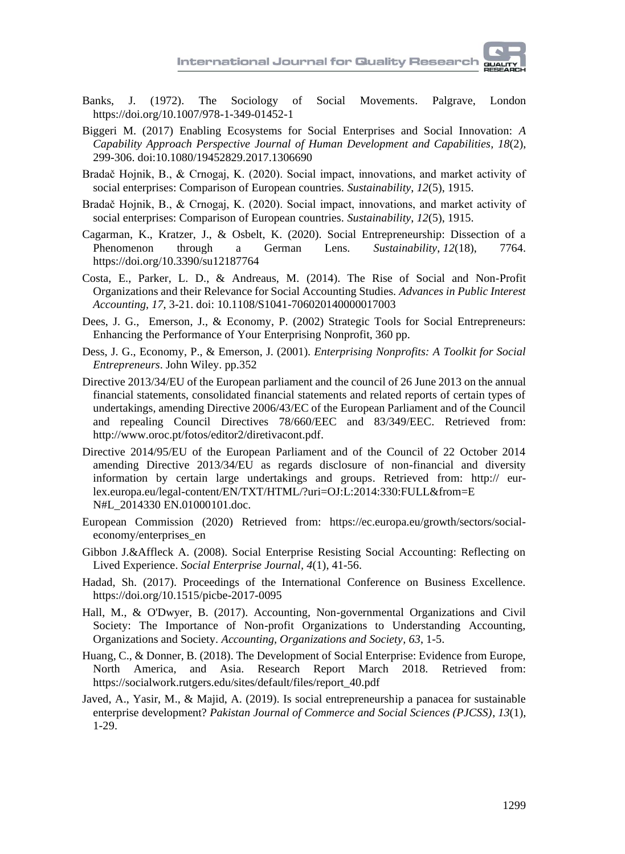

- Banks, J. (1972). The Sociology of Social Movements. Palgrave, London https://doi.org/10.1007/978-1-349-01452-1
- Biggeri M. (2017) Enabling Ecosystems for Social Enterprises and Social Innovation: *A Capability Approach Perspective [Journal of Human Development and Capabilities,](https://www.researchgate.net/journal/Journal-of-Human-Development-and-Capabilities-1945-2829) 18*(2), 299-306. doi[:10.1080/19452829.2017.1306690](https://www.researchgate.net/deref/http%3A%2F%2Fdx.doi.org%2F10.1080%2F19452829.2017.1306690)
- Bradač Hojnik, B., & Crnogaj, K. (2020). Social impact, innovations, and market activity of social enterprises: Comparison of European countries. *Sustainability*, *12*(5), 1915.
- Bradač Hojnik, B., & Crnogaj, K. (2020). Social impact, innovations, and market activity of social enterprises: Comparison of European countries. *Sustainability*, *12*(5), 1915.
- Cagarman, K., Kratzer, J., & Osbelt, K. (2020). Social Entrepreneurship: Dissection of a Phenomenon through a German Lens. *Sustainability*, *12*(18), 7764. https://doi.org/10.3390/su12187764
- Costa, E., Parker, L. D., & Andreaus, M. (2014). The Rise of Social and Non-Profit Organizations and their Relevance for Social Accounting Studies. *[Advances in Public Interest](https://www.researchgate.net/journal/Advances-in-Public-Interest-Accounting-1041-7060)  [Accounting,](https://www.researchgate.net/journal/Advances-in-Public-Interest-Accounting-1041-7060) 17*, 3-21. doi: [10.1108/S1041-706020140000017003](https://www.researchgate.net/deref/http%3A%2F%2Fdx.doi.org%2F10.1108%2FS1041-706020140000017003)
- [Dees,](https://www.wiley.com/en-bg/search?pq=%7Crelevance%7Cauthor%3AJ.+Gregory+Dees) J. G., [Emerson,](https://www.wiley.com/en-bg/search?pq=%7Crelevance%7Cauthor%3AJed+Emerson) J., & [Economy,](https://www.wiley.com/en-bg/search?pq=%7Crelevance%7Cauthor%3APeter+Economy) P. (2002) Strategic Tools for Social Entrepreneurs: Enhancing the Performance of Your Enterprising Nonprofit, 360 pp.
- Dess, J. G., Economy, P., & Emerson, J. (2001). *Enterprising Nonprofits: A Toolkit for Social Entrepreneurs*. John Wiley. pp.352
- Directive 2013/34/EU of the European parliament and the council of 26 June 2013 on the annual financial statements, consolidated financial statements and related reports of certain types of undertakings, amending Directive 2006/43/EC of the European Parliament and of the Council and repealing Council Directives 78/660/EEC and 83/349/EEC. Retrieved from: [http://www.oroc.pt/fotos/editor2/diretivacont.pdf.](http://www.oroc.pt/fotos/editor2/diretivacont.pdf)
- Directive 2014/95/EU of the European Parliament and of the Council of 22 October 2014 amending Directive 2013/34/EU as regards disclosure of non-financial and diversity information by certain large undertakings and groups. Retrieved from: http:// eurlex.europa.eu/legal-content/EN/TXT/HTML/?uri=OJ:L:2014:330:FULL&from=E N#L\_2014330 EN.01000101.doc.
- European Commission (2020) Retrieved from: https://ec.europa.eu/growth/sectors/socialeconomy/enterprises\_en
- Gibbon J.&Affleck A. (2008). Social Enterprise Resisting Social Accounting: Reflecting on Lived Experience. *Social Enterprise Journal, 4*(1), 41-56.
- Hadad, Sh. (2017). Proceedings of the International Conference on Business Excellence. <https://doi.org/10.1515/picbe-2017-0095>
- Hall, M., & O'Dwyer, B. (2017). Accounting, Non-governmental Organizations and Civil Society: The Importance of Non-profit Organizations to Understanding Accounting, Organizations and Society. *Accounting, Organizations and Society, 63*, 1-5.
- Huang, C., & Donner, B. (2018). The Development of Social Enterprise: Evidence from Europe, North America, and Asia. Research Report March 2018. Retrieved from: https://socialwork.rutgers.edu/sites/default/files/report\_40.pdf
- Javed, A., Yasir, M., & Majid, A. (2019). Is social entrepreneurship a panacea for sustainable enterprise development? *Pakistan Journal of Commerce and Social Sciences (PJCSS)*, *13*(1), 1-29.